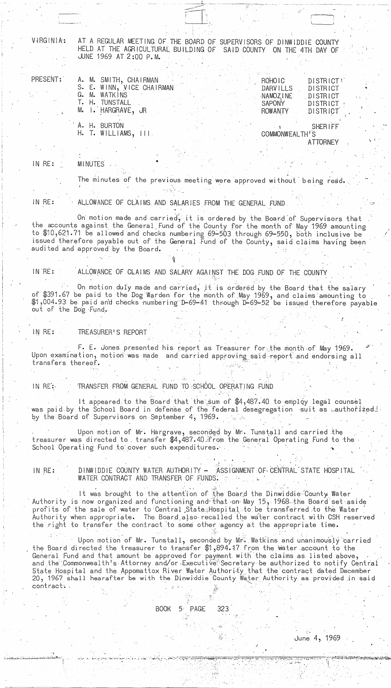VIRGINIA:

AT A REGULAR MEETING OF THE BOARD OF SUPERVISORS OF DINWIDDIE COUNTY HELD AT THE AGRICULTURAL BUILDING OF SAID COUNTY ON THE 4TH DAY OF JUNE 1969 AT 2:00 P.M.

| PRESENT: |                   |       | A. M. SMITH, CHAIRMAN     |  |  |  | ROHOIC         | DISTRICT!       |  |
|----------|-------------------|-------|---------------------------|--|--|--|----------------|-----------------|--|
|          |                   |       | S. E. WINN, VICE CHAIRMAN |  |  |  | DARVILLS       | <b>DISTRICT</b> |  |
|          |                   | G. M. | WATKINS                   |  |  |  | NAMOZINE       | DISTRICT        |  |
|          | $\mathsf{L}$ . H. |       | TUNSTALL                  |  |  |  | <b>SAPONY</b>  | DISTRICT        |  |
|          |                   |       | M. I. HARGRAVE, JR        |  |  |  | ROWANTY        | DISTRICT        |  |
|          |                   |       |                           |  |  |  |                |                 |  |
|          |                   | H.    | <b>BURTON</b>             |  |  |  |                | <b>SHERIFF</b>  |  |
|          |                   |       | WILLIAMS,                 |  |  |  | COMMONWEALTH'S |                 |  |

CUMMUNWEALIH'S **ATTORNEY** 

IN RE: **MINUTES** 

The minutes of the previous meeting were approved without being read.

IN RE:

ALLOWANCE OF CLAIMS AND SALARIES FROM THE GENERAL FUND

On motion made and carried, it is ordered by the Board of Supervisors that the accounts against the General Fund of the County for the month of May 1969 amounting to \$10,621.71 be allowed and checks numbering 69-503 through 69-550, both inclusive be issued therefore payable out of the General Fund of the County, said claims having been audited and approved by the Board.

ALLOWANCE OF CLAIMS AND SALARY AGAINST THE DOG FUND OF THE COUNTY IN RE:

On motion duly made and carried, it is ordered by the Board that the salary of \$391.67 be paid to the Dog Warden for the month of May 1969, and claims amounting to<br>\$1,004.93 be paid and checks numbering D-69-41 through D-69-52 be issued therefore payable out of the Dog Fund.

TREASURER'S REPORT  $INRE:$ 

F. E. Jones presented his report as Treasurer for the month of May 1969. Upon examination, motion was made and carried approving said report and endorsing all transfers thereof.

IN RE: TRANSFER FROM GENERAL FUND TO SCHOOL OPERATING FUND

It appeared to the Board that the sum of \$4,487.40 to employ legal counsel was paid by the School Board in defense of the federal desegregation suit as cauthorized. by the Board of Supervisors on September 4, 1969.

Upon motion of Mr. Hargrave, seconded by Mr. Tunstall and carried the treasurer was directed to transfer \$4,487.40 from the General Operating Fund to the School Operating Fund to cover such expenditures.

DINWIDDIE COUNTY WATER AUTHORITY -ASSIGNMENT OF CENTRAL STATE HOSPITAL IN RE: WATER CONTRACT AND TRANSFER OF FUNDS.

It was brought to the attention of the Board the Dinwiddie County Water Authority is now organized and functioning and that on May 15, 1968 the Board set aside profits of the sale of water to Central State Hospital to be transferred to the Water Authority when appropriate. The Board also-recalled the water contract with CSH reserved the right to transfer the contract to some other agency at the appropriate time.

Upon motion of Mr. Tunstall, seconded by Mr. Watkins and unanimously carried the Board directed the treasurer to transfer \$1,894.17 from the water account to the General Fund and that amount be approved for payment with the claims as listed above, and the Commonwealth's Attorney and/or Executive Secretary be authorized to notify Central State Hospital and the Appomattox River Water Authority that the contract dated I 20, 1967 shall hearafter be with the Dinwiddie County Water Authority as provided in said contract:.

> **BOOK**  $5<sup>°</sup>$ 323 PAGE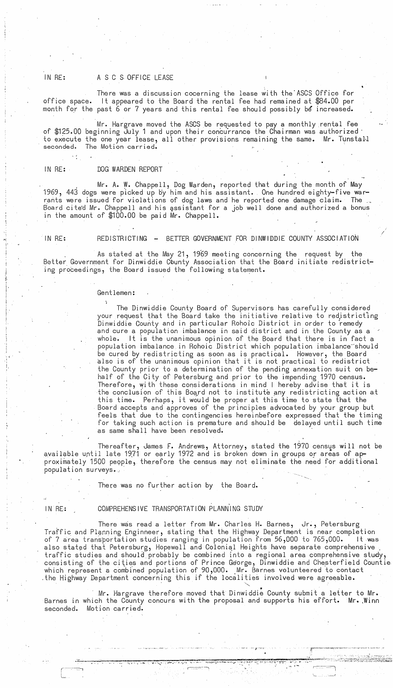## IN RE: A S C S OFFICE LEASE

office space. month for the past 6 or 7 years and this rental fee should possibly be increased. There was a discussion cocerning the lease with the ASCS Office for It appeared to the Board the rental fee had remained at \$84.00 per

of \$125.00 beginning July 1 and upon their concu'rrance the Chairman was authorized' to execute the one year lease, all other provisions remaining the same. Mr. Tunsta11 seconded. The Motion carried. Mr. Hargrave moved the ASCS be requested to pay a monthly.rental fee

### IN RE: DOG WARDEN REPORT

Mr. A. W. Chappell, Dog Warden, reported that during the month of May 1969, 443 dogs were picked up by him and his assistant. One hundred eighty-five warrants were issued for violations of dog laws and he reported one damage claim. The  $\Box$ Board cited Mr. Chappell and his assistant for a job well done and authorized a bonus in the amount of \$100.00 be paid Mr. Chappell.

IN RE: REDISTRICTING - BETTER GOVERNMENT FOR DINWIDDIE COUNTY ASSOCIATION

. As stated at the May 21, 1969 meeting concerning the request by the Better Government for Dinwiddie County Association that the Board initiate redistricting proceedings, the Board issued the following statement.

### Gentlemen:

The Dinwiddie County Board of Supervisors has carefully considered your request that the Board take the initiative relative to redistricting Dinwiddie County and in particular Rohoic District in order to remedy and cure a population imbalance in said district and in the County as a whole. It is the unanimous opinion of the Board that there is in fact a population imbalance in Rohoic District which population imbalance should be cured by redistricting as soon as is practical. However, the Board also is of the unanimous opinion that it is not practical to redistrict the County prior to a determination of the pending annexation suit on behalf of the City of Petersburg and prior to the impending 1970 census. Therefore, with these considerations in mind I hereby advise that it is the conclusion of this Board not to institute any redistricting action at this time. Perhaps, it would be proper at this time to state that the Board accepts and approves of the principles advocated by your group but feels that due to the contingencies hereinbefore expressed that the timing for taking such action is premature and should be delayed until such time as same shall have been resolved.

 $-$ 

-~":' On "jJ ,.,.. ~ *.!f,..... ... " ...* ~' *.. 'O .. "..* ~':"""-~~'-.-~" •• '~· .... ·T<"'-'.\_ ~ • .,.~ -~,-

--, ~ ' .... ~---==--j

.I

Thereafter, James F. Andrews, Attorney, stated the 1970 census will not be available until late 19,71 or earLy 1972 and is broken down in groups or areas of ap proximately 1500 people, therefore the census may not eliminate the need for additional population surveys..

There was no further action by the Board.

:"'----=1 L

## IN RE: COMPREHENSIVE TRANSPORTATION PLANNING STUDY

. There was read a letter from Mr. Charles H. Barnes, Jr., Petersburg Traffic and Planning Enginneer, stating that the Highway Department is near completion of 7 area transportation studies ranging in population from 56,000 to 765,000. It was also stated that Petersburg, Hopewell and Colonial Heights have separate comprehensive \_<br>traffic studies and should probably be combined into a regional area comprehensive study, consisting of the cities and portions of Prince George, Dinwiddie and Chesterfield Countie which represent a combined population of 90,000. Mr. Barnes volunteered to contact .<br>the Highway Department concerning this if the localities involved were agreeable.

Mr. Hargrave therefore moved that Dinwiddie County submit a letter to Mr. Barnes in which the County concurs with the proposal and supports his effort. Mr. Winn seconded. Motion carried.

~~" .. ~""'-':"'. ~ 0: J ...... \_\_ .....,.~\_~~;:--.~.':.~, .. : .. րագայության առաջացության համար համար համար համար համար համար համար համար համար համար համար համար համար համար հ<br>Այս երկարությունների համար համար համար համար համար համար համար համար համար համար համար համար համար համար համ

.<br>.<br>.

,.;

j. i. i

i

!.<br>'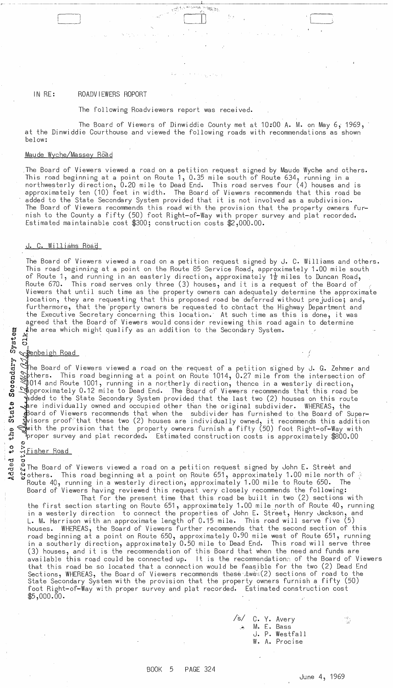## IN RE: ROADVIEWERS ROPORT

The following Roadviewers report was received.

 $\Box$ 

The Board of Viewers of Dinwiddie County met at 10:00 A. M. on May *6i 1969,*  at the Dinwiddie Courthouse and viewed the following roads with recommendations as shown below:

 $\mathcal{P}_{\mathcal{G}_1,\mathcal{G}_2}$ 

### Maude Wyche/Massey Road

,The Board of Viewers viewed a road on a petition request signed by Maude Wycbe and others. This road beginning at a point on Route 1, 0.35 mile south of Route 634, running in a northwesterly direction, 0.20 mile to Dead End. This road serves four (4) houses and is approximately ten (10) feet in width. The Board of Viewers recommends that this road be added to the State Secondary System provided that it is not involved as a subdivision. The Board of Viewers recommends this road with the provision that the property owners furnish to the County a fifty (50) foot Right-of-Way with proper survey and plat recorded. Estimated maintainable cost \$300; construction costs \$2,000.00.

### J. C. Williams Road

The Board of Viewers viewed a road on a petition request signed by J. C. Williams and others. This road beginning at a point on the Route 85 Service Road, approximately 1.00 mile south of Route 1, and running in an easterly direction, approximately 1 $\frac{1}{2}$  miles to Duncan Road, Route 670. This road serves only three (3) houses, and it is a request of the Board of : Viewers that until such time as the property owners can adequately determine the approximate location, they are requesting that this proposed road be deferred without prejudice; and, furthermore, that the property owners be requested to contact the Highway Department and the Executive Secretary concerning this location.' At such time as this is done, it was agreed that the Board'of Viewers would consider reviewing this road again to determine the area which might qualify as an addition to the Secondary System.

# $\frac{3}{2}$  cl

Secondary

The Board of Viewers viewed a road on the request of a petition signed by J. G. Zehmer and  ${\tt\emph{p} }$ thers. This road beginning at a point on Route 1014, 0.27 mile from the intersection of  $\parallel$ 014 and Route 1001, running in a northerly direction, thence in a westerly direction, <sup>~</sup>pproximately 0.12 mile to Dead End. The Board of Viewers recommends that this road be added to the State Secondary System provided that the last two (2) houses on this route<br>are individually owned and occupied other than the original subdivider. WHEREAS, the<br>added to the Board of Viewers recommends that whe  $\clubsuit$ Doard of Viewers recommends that when the subdivider has furnished to the Board of Super-: w shisors proof that these two (2) houses are individually owned, it recommends this addition<br>with the provision that the property owners furnish a fifty (50) foot Right-of-Way with<br>proper survey and plat recorded. Estim  $\,$  with the provision that the  $\,$  property owners furnish a fifty (50) foot Right—of—Way with  $\,$  proper survey and plat recorded. Estimated construction costs is approximately  $\$800.00$ 

u,

o : Fisher Road<br>
o : The Board of<br>
o : The Board of<br>
others. Thi ಲ<br>© The Board of Viewers viewed a road on a petition request signed by John E. Street and others. This road beginning at a point on Route 651, approximately 1.00 mile north of  $\frac{5}{2}$ <br>Route 40, running in a westerly direction, approximately 1.00 mile to Route 650. The Route 40, running in a westerly direction, approximately 1.00 mile to Route 650. Board of Viewers having reviewed this request very closely recommends the following:

That for the present time that this road be built in two (2) sections with the first section starting on Route 651, approximately 1.00 mile north of Route 40, running in a westerly direction to connect the properties of John E. Street, Henry Jackson, and **L.** M. Harrison with an approximate length of 0.15 mile. This road will serve five (5) houses. WHEREAS, the Board of Viewers further recommends that the second section of this road beginning at a point on Route 650, approximately 0.90 mile west of Route 651, running in a southerly direction, approximately 0.50 mile to Dead End. This road will serve three (3) houses, and it is the recommendation of this Board that when the need and funds are  $\sim$  available this road could be connected up. It is the recommendation of the Board of Viewers that this road be so located that a connection would be feasible for the two (2) Dead End Sections, WHEREAS, the Board of Viewers recommends these  $\Delta w\tilde{\psi}\mathcal{L}(2)$  sections of road to the State Secondary System with the provision that the property owners furnish a fifty (50) foot Right-of-Way wi th proper survey and plat recorded. Estimated construction cost \$5,000.00.

/s/ C. Y. Avery M. E. Bass J. P. Westfall W. A. Procise

 $\frac{1}{2}$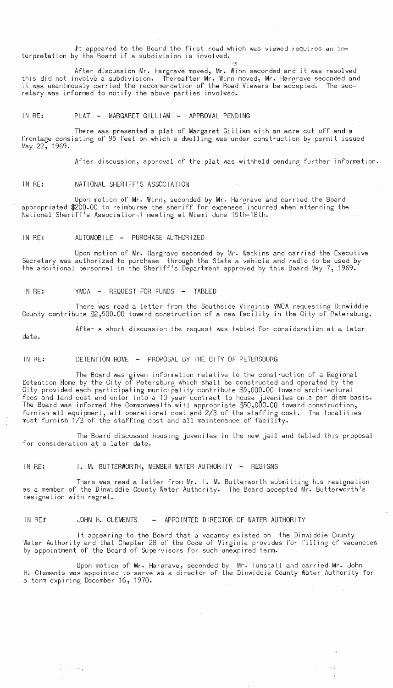At appeared to the Board the first road which was viewed requires an interpretation by the Board if a subdivision is involved.

After discussion Mr. Hargrave moved, Mr. Winn seconded and it was resolved this did not involve a subdivision. Thereafter Mr. Winn moved, Mr. Hargrave seconded and it was uaanimously carried the recommendation of the Road Viewers be accepted. The secretary was informed to notify the above parties involved.

IN RE: PLAT - MARGARET GILLIAM - APPROVAL PENDING

There was presented a plat of Margaret Gilliam with an acre cut off and a frontage consisting of 95 feet on which a dwelling was under construction by permit issued May 22, 1969.

After discussion, approval of the plat was withheld pending further information.

':31

IN RE: NATIONAL SHERIFF'S ASSOCIATION

Upon motion of Mr. Winn, seconded by Mr. Hargrave and carried the Board appropriated \$200.00 to reimburse the sheriff for expenses incurred when attending the National Sheriff's Association-,l meeting at Miami June 15th-18th.

### IN RE: AUTOMOBILE - PURCHASE AUTHORIZED

Upon motion of Mr. Hargrave seconded by Mr. Watkins and carried the Executive Secretary was authorized to purchase through the State a vehicle and radio to be used by the additional personnel in the Sheriff's Department approved by this Board May 7, 1969.

IN RE: YMCA - REQUEST FOR FUNDS - TABLED

There was read a letter from the Southside Virginia YMCA requesting Dinwiddie County contribute \$2,500.00 toward construction of a new facility in the City of Petersburg.

After a short discussion the request was tabled for consideration at a later

date.

### IN RE: DETENTION HOME - PROPOSAL BY THE CITY OF PETERSBURG

The Board was given information relative to the construction of a Regional Detention Home by the City of Petersburg which shall be constructed and operated by the City provided each participating municipality contribute \$5,000.00 toward architectural fees and land cost and enter into a 10 year contract to house juveniles on.a per diem basis. The Board was informed the Commonwealth will appropriate \$50,000.00 toward construction, furnish all equipment, all operational cost and 2/3 of the staffing cost. The localities must furnish 1/3 of the staffing cost and all maintenance of facility.

The Board discussed housing juveniles in the new jail and tabled this proposal for consideration at a later date.

IN RE: **I. M. BUTTERWORTH, MEMBER WATER AUTHORITY** - RESIGNS

.  $\rightarrow$ 

There was read a letter from Mr. I. **M.** Butterworth submitting his resignation as a member of the Dinwiddie County Water Authority. The Board accepted Mr. Butterworth's resignation with regret.

### IN RE<sup>2</sup> JOHN H. CLEMENTS - APPOINTED DIRECTOR OF WATER AUTHORITY

It appearing to the Board that a vacancy existed on the Dinwiddie County Water Authority and that Chapter 28 of the Code of Virginia provides for filling of vacancies by appointment of the Board of Supervisors for such unexpired term.

Upon motion of Mr. Hargrave, seconded by Mr. Tunstall and carried Mr. John **H.** Clements was appointed to serve as a director of the Dinwiddie County Water Authority for a term expiring December 16, 1970 •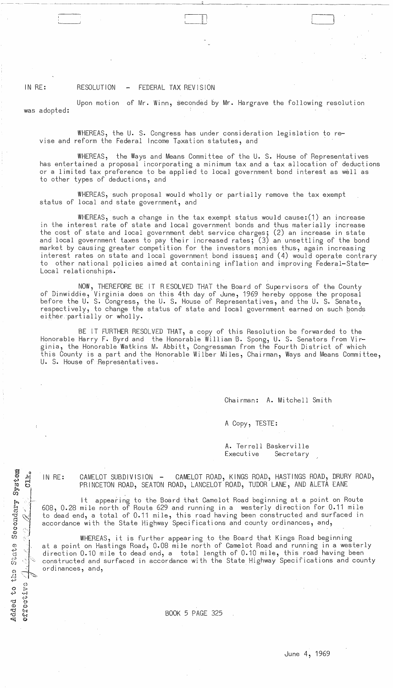IN RE: RESOLUTION - FEDERAL TAX REVISION

was adopted:

Upon motion of Mr. Winn, seconded by Mr. Hargrave the following resolution

 $\sqcup$ 

WHEREAS, the U. S. Congress has under consideration legislation to revise and reform the Federal Income Taxation statutes, and

WHEREAS, the Ways and Means Committee of the U. S. House of Representatives has entertained a proposal incorporating a minimum tax and a tax allocation of deductions or a limited tax preference to be applied to local government bond interest as well as to other types of deductions, and

WHEREAS, such proposal would wholly or partially remove the tax exempt status of local and state government, and

WHEREAS, such a change in the tax exempt status would cause:(1) an increase in the interest rate of state and local government bonds and thus materially increase the cost of state and local government debt service charges; (2) an increase in state and local government taxes to pay their increased rates; (3) an unsettling of the bond market by causing greater competition for the investors monies thus, again increasing interest rates on state and local government bond issues; and (4) would operate contrary to other national pOlicies aimed at containing inflation and improving Federal-State-Local relationships.'

NOW, THEREFORE BE IT RESOLVED THAT the Board of Supervisors of the County of Dinwiddie, Virginia does on this 4th day of June, 1969 hereby oppose the proposal before the U. S. Congress, the U. S. House of Representatives, and the U. S. Senate, respectively, to change the status of state and local government earned on such ponds either.partially or wholly.

BE IT FURTHER RESOLVED THAT, a copy of this Resolution be forwarded to the Honorable Harry **F.** Byrd and the Honorable Wi 11 iam B. Spong, U. S. Senators from Vi rginia, the Honorable Watkins M. Abbitt, Congressman from the Fourth District of which this County is a part and the Honorable Wilber Miles, Chairman, Ways and Means Committee, U. S. House of Representatives.

Chairman: A. Mitchell Smith

A Copy, TESTE:

A. Terrell Baskerville Executive Secretary

 $\sigma_{\rm IR}$  , IN RE:

 $\mathbf{I}$ , ~.~  $\frac{1}{\alpha}$ \:'1

System

 $\Xi$ *cr.i to* 

Secon

;~ l

-I'

'<br>The second in the second in the second in the second in the second in the second in the second in the second i<br>The second in the second in the second in the second in the second in the second in the second in the second

 $5.77$ 

 $0.536$ 

 $\hat{\boldsymbol{\theta}}$ 

 ${\bf S}$  :  ${\bf a}$  t,  ${\bf s}$ 

(:) r' **r·-J**  -1.-"

ت<br>دي

ded<br>  $\rightarrow$  CAMELOT SUBDIVISION - CAMELOT ROAD, KINGS ROAD, HASTINGS ROAD, DRURY ROAD, PRINCETON ROAD, SEATON ROAD, LANCELOT ROAD, TUDOR LANE, AND ALETA EANE

It appearing to the Board that Camelot Road beginning at a point on Route 608, 0.28 mile north of Route 629 and running in a westerly direction for 0.11 mile to dead end, a total of 0.11 mile, this road having been constructed and surfaced In accordance with the State Highway Specifications and county ordinances, and,

WHEREAS, it is further appearing to the Board that Kings Road beginning at a point on Hastings Road, 0.08 mile north of Camelot Road and running in a westerly direction 0.10 mile to dead end, a  $\,$  total length of 0.10 mile, this road having been constructed and surfaced in accordance with the State Highway Specifications and county ordinances, and,

BOOK 5 PAGE 325